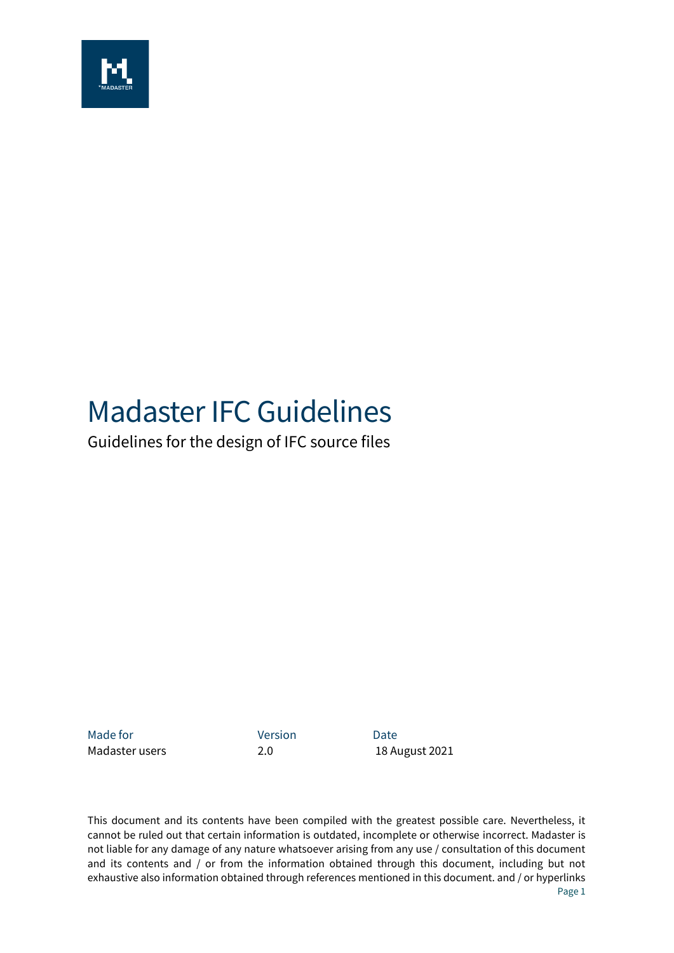

## Madaster IFC Guidelines

Guidelines for the design of IFC source files

Made for **Version Date** 

Madaster users 2.0 18 August 2021

This document and its contents have been compiled with the greatest possible care. Nevertheless, it cannot be ruled out that certain information is outdated, incomplete or otherwise incorrect. Madaster is not liable for any damage of any nature whatsoever arising from any use / consultation of this document and its contents and / or from the information obtained through this document, including but not exhaustive also information obtained through references mentioned in this document. and / or hyperlinks Page 1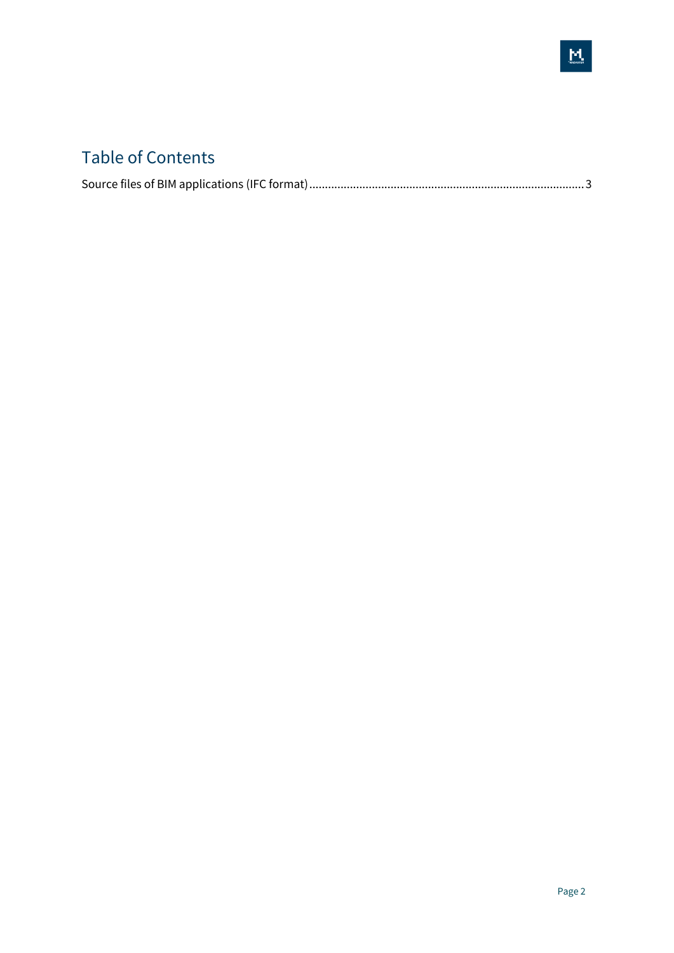## Table of Contents

|--|--|